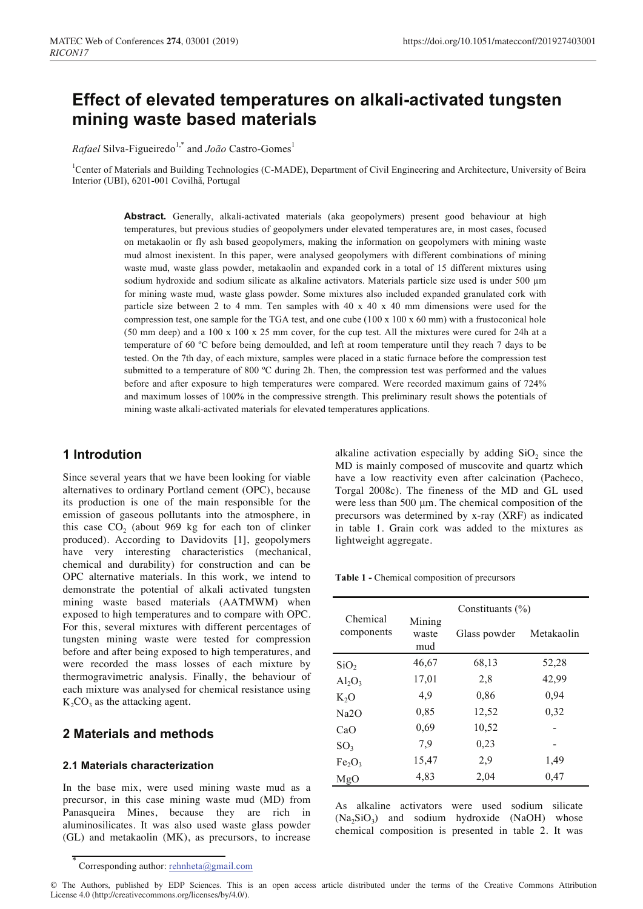# Effect of elevated temperatures on alkali-activated tungsten mining waste based materials

*Rafael* Silva-Figueiredo<sup>1,\*</sup> and *João* Castro-Gomes<sup>1</sup>

<sup>1</sup>Center of Materials and Building Technologies (C-MADE), Department of Civil Engineering and Architecture, University of Beira Interior (UBI), 6201-001 Covilhã, Portugal

> Abstract. Generally, alkali-activated materials (aka geopolymers) present good behaviour at high temperatures, but previous studies of geopolymers under elevated temperatures are, in most cases, focused on metakaolin or fly ash based geopolymers, making the information on geopolymers with mining waste mud almost inexistent. In this paper, were analysed geopolymers with different combinations of mining waste mud, waste glass powder, metakaolin and expanded cork in a total of 15 different mixtures using sodium hydroxide and sodium silicate as alkaline activators. Materials particle size used is under 500 µm for mining waste mud, waste glass powder. Some mixtures also included expanded granulated cork with particle size between 2 to 4 mm. Ten samples with  $40 \times 40 \times 40$  mm dimensions were used for the compression test, one sample for the TGA test, and one cube  $(100 \times 100 \times 60 \text{ mm})$  with a frustoconical hole (50 mm deep) and a 100 x 100 x 25 mm cover, for the cup test. All the mixtures were cured for 24h at a temperature of 60 °C before being demoulded, and left at room temperature until they reach 7 days to be tested. On the 7th day, of each mixture, samples were placed in a static furnace before the compression test submitted to a temperature of 800 °C during 2h. Then, the compression test was performed and the values before and after exposure to high temperatures were compared. Were recorded maximum gains of 724% and maximum losses of 100% in the compressive strength. This preliminary result shows the potentials of mining waste alkali-activated materials for elevated temperatures applications.

# 1 Introdution

Since several years that we have been looking for viable alternatives to ordinary Portland cement (OPC), because its production is one of the main responsible for the emission of gaseous pollutants into the atmosphere, in this case CO<sub>2</sub> (about 969 kg for each ton of clinker produced). According to Davidovits [1], geopolymers have very interesting characteristics (mechanical, chemical and durability) for construction and can be OPC alternative materials. In this work, we intend to demonstrate the potential of alkali activated tungsten mining waste based materials (AATMWM) when exposed to high temperatures and to compare with OPC. For this, several mixtures with different percentages of tungsten mining waste were tested for compression before and after being exposed to high temperatures, and were recorded the mass losses of each mixture by thermogravimetric analysis. Finally, the behaviour of each mixture was analysed for chemical resistance using  $K_2CO_3$  as the attacking agent.

# 2 Materials and methods

#### 2.1 Materials characterization

In the base mix, were used mining waste mud as a precursor, in this case mining waste mud (MD) from Panasqueira Mines, because they are rich in aluminosilicates. It was also used waste glass powder (GL) and metakaolin (MK), as precursors, to increase

alkaline activation especially by adding  $SiO<sub>2</sub>$  since the MD is mainly composed of muscovite and quartz which have a low reactivity even after calcination (Pacheco, Torgal 2008c). The fineness of the MD and GL used were less than 500  $\mu$ m. The chemical composition of the precursors was determined by x-ray (XRF) as indicated in table 1. Grain cork was added to the mixtures as lightweight aggregate.

Table 1 - Chemical composition of precursors

| Chemical<br>components         | Constituants $(\% )$   |              |            |  |
|--------------------------------|------------------------|--------------|------------|--|
|                                | Mining<br>waste<br>mud | Glass powder | Metakaolin |  |
| SiO <sub>2</sub>               | 46,67                  | 68,13        | 52,28      |  |
| $Al_2O_3$                      | 17,01                  | 2,8          | 42,99      |  |
| $K_2O$                         | 4,9                    | 0.86         | 0,94       |  |
| Na2O                           | 0,85                   | 12,52        | 0,32       |  |
| CaO                            | 0,69                   | 10,52        |            |  |
| SO <sub>3</sub>                | 7.9                    | 0,23         |            |  |
| Fe <sub>2</sub> O <sub>3</sub> | 15,47                  | 2,9          | 1.49       |  |
| MgO                            | 4,83                   | 2,04         | 0,47       |  |

As alkaline activators were used sodium silicate  $(Na_2SiO_3)$  and sodium hydroxide (NaOH) whose chemical composition is presented in table 2. It was

Corresponding author: rehnheta@gmail.com

<sup>©</sup> The Authors, published by EDP Sciences. This is an open access article distributed under the terms of the Creative Commons Attribution License 4.0 (http://creativecommons.org/licenses/by/4.0/).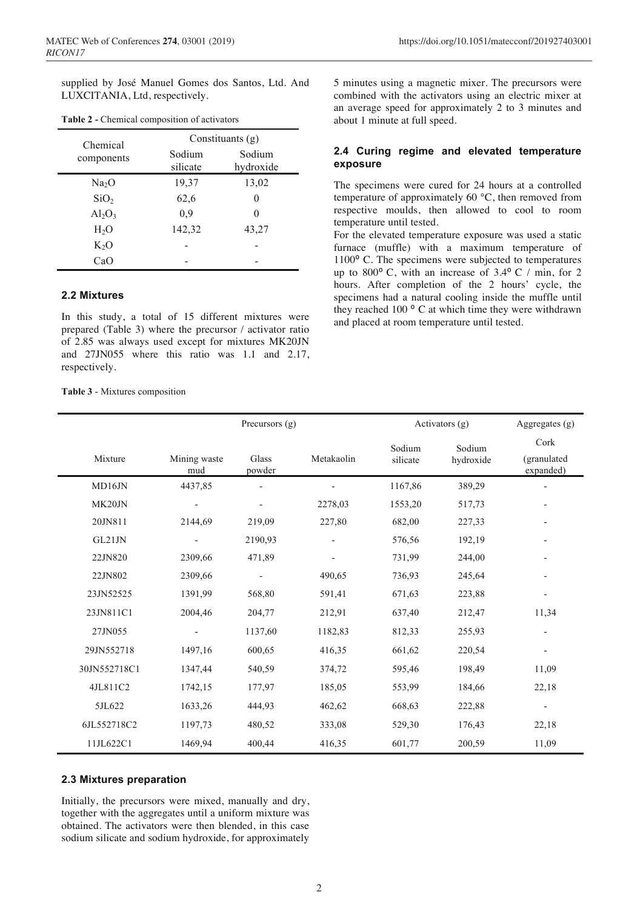supplied by José Manuel Gomes dos Santos, Ltd. And LUXCITANIA, Ltd, respectively.

| Chemical<br>components | Constituants $(g)$ |                     |  |  |
|------------------------|--------------------|---------------------|--|--|
|                        | Sodium<br>silicate | Sodium<br>hydroxide |  |  |
| Na <sub>2</sub> O      | 19,37              | 13,02               |  |  |
| SiO <sub>2</sub>       | 62,6               | 0                   |  |  |
| $Al_2O_3$              | 0,9                | 0                   |  |  |
| H <sub>2</sub> O       | 142,32             | 43,27               |  |  |
| $K_2O$                 |                    |                     |  |  |
| CaO                    |                    |                     |  |  |

**Table 2 - Chemical composition of activators** 

#### **2.2 Mixtures**

In this study, a total of 15 different mixtures were prepared (Table 3) where the precursor  $/$  activator ratio of 2.85 was always used except for mixtures MK20JN and  $27JN055$  where this ratio was 1.1 and  $2.17$ , respectively.

**Table 3** - Mixtures composition

5 minutes using a magnetic mixer. The precursors were combined with the activators using an electric mixer at an average speed for approximately 2 to 3 minutes and about 1 minute at full speed.

#### 2.4 Curing regime and elevated temperature  $exposure$

The specimens were cured for 24 hours at a controlled temperature of approximately 60  $^{\circ}$ C, then removed from respective moulds, then allowed to cool to room temperature until tested.

For the elevated temperature exposure was used a static furnace (muffle) with a maximum temperature of  $1100^{\circ}$  C. The specimens were subjected to temperatures up to  $800^{\circ}$  C, with an increase of  $3.4^{\circ}$  C / min, for 2 hours. After completion of the 2 hours' cycle, the specimens had a natural cooling inside the muffle until they reached 100 $\degree$  C at which time they were withdrawn and placed at room temperature until tested.

|              | Precursors (g)      |                          | Activators (g)           |                    | Aggregates (g)      |                                  |
|--------------|---------------------|--------------------------|--------------------------|--------------------|---------------------|----------------------------------|
| Mixture      | Mining waste<br>mud | Glass<br>powder          | Metakaolin               | Sodium<br>silicate | Sodium<br>hydroxide | Cork<br>(granulated<br>expanded) |
| MD16JN       | 4437,85             |                          |                          | 1167,86            | 389,29              |                                  |
| MK20JN       |                     | $\overline{\phantom{a}}$ | 2278,03                  | 1553,20            | 517,73              | $\overline{\phantom{0}}$         |
| 20JN811      | 2144,69             | 219,09                   | 227,80                   | 682,00             | 227,33              | $\overline{\phantom{a}}$         |
| GL21JN       |                     | 2190,93                  | $\overline{\phantom{0}}$ | 576,56             | 192,19              | $\overline{\phantom{a}}$         |
| 22JN820      | 2309,66             | 471,89                   |                          | 731,99             | 244,00              | $\overline{\phantom{a}}$         |
| 22JN802      | 2309,66             |                          | 490,65                   | 736,93             | 245,64              |                                  |
| 23JN52525    | 1391,99             | 568,80                   | 591,41                   | 671,63             | 223,88              |                                  |
| 23JN811C1    | 2004,46             | 204,77                   | 212,91                   | 637,40             | 212,47              | 11,34                            |
| 27JN055      |                     | 1137,60                  | 1182,83                  | 812,33             | 255,93              | $\overline{\phantom{a}}$         |
| 29JN552718   | 1497,16             | 600,65                   | 416,35                   | 661,62             | 220,54              | $\qquad \qquad \blacksquare$     |
| 30JN552718C1 | 1347,44             | 540,59                   | 374,72                   | 595,46             | 198,49              | 11,09                            |
| 4JL811C2     | 1742,15             | 177,97                   | 185,05                   | 553,99             | 184,66              | 22,18                            |
| 5JL622       | 1633,26             | 444,93                   | 462,62                   | 668,63             | 222,88              | $\overline{\phantom{a}}$         |
| 6JL552718C2  | 1197,73             | 480,52                   | 333,08                   | 529,30             | 176,43              | 22,18                            |
| 11JL622C1    | 1469,94             | 400,44                   | 416,35                   | 601,77             | 200,59              | 11,09                            |

#### **2.3 Mixtures preparation**

Initially, the precursors were mixed, manually and dry, together with the aggregates until a uniform mixture was obtained. The activators were then blended, in this case sodium silicate and sodium hydroxide, for approximately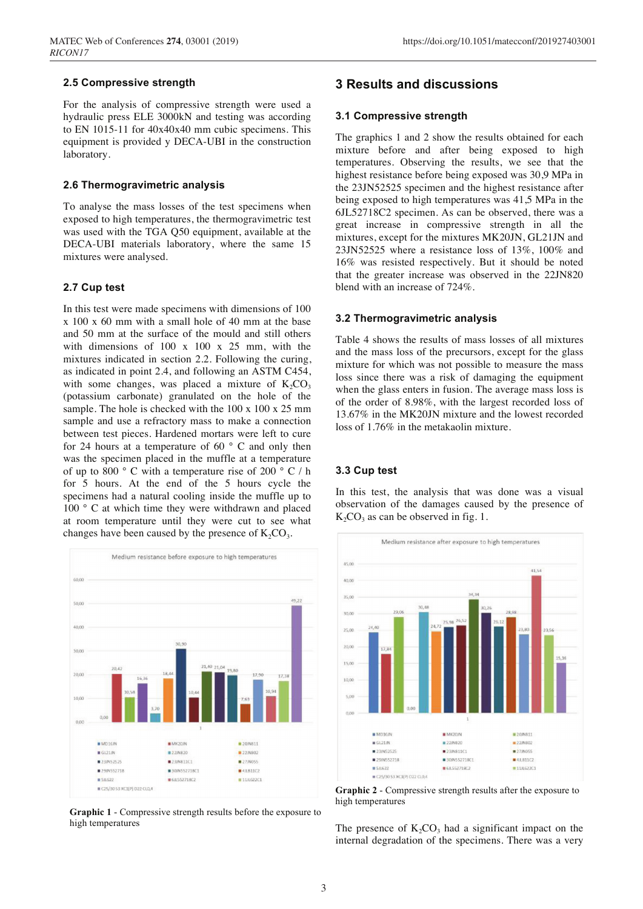#### **2.5 Compressive strength**

For the analysis of compressive strength were used a hydraulic press ELE 3000kN and testing was according to EN 1015-11 for  $40x40x40$  mm cubic specimens. This equipment is provided y DECA-UBI in the construction laboratory.

#### **2.6 Thermogravimetric analysis**

To analyse the mass losses of the test specimens when exposed to high temperatures, the thermogravimetric test was used with the TGA Q50 equipment, available at the DECA-UBI materials laboratory, where the same 15 mixtures were analysed.

#### **2.7 Cup test**

In this test were made specimens with dimensions of 100  $x$  100  $x$  60 mm with a small hole of 40 mm at the base and 50 mm at the surface of the mould and still others with dimensions of  $100 \times 100 \times 25$  mm, with the mixtures indicated in section 2.2. Following the curing, as indicated in point 2.4, and following an ASTM C454, with some changes, was placed a mixture of  $K_2CO_3$  $(potassium carbonate) granulated on the hole of the$ sample. The hole is checked with the  $100 \times 100 \times 25$  mm sample and use a refractory mass to make a connection between test pieces. Hardened mortars were left to cure for 24 hours at a temperature of 60 $\degree$  C and only then was the specimen placed in the muffle at a temperature of up to 800  $\degree$  C with a temperature rise of 200  $\degree$  C / h for  $5$  hours. At the end of the  $5$  hours cycle the specimens had a natural cooling inside the muffle up to 100 $\degree$  C at which time they were withdrawn and placed at room temperature until they were cut to see what changes have been caused by the presence of  $K_2CO_3$ .



**Graphic 1 - Compressive strength results before the exposure to** high temperatures

## **3 Results and discussions**

#### 3.1 Compressive strength

The graphics 1 and 2 show the results obtained for each mixture before and after being exposed to high temperatures. Observing the results, we see that the highest resistance before being exposed was 30,9 MPa in the 23JN52525 specimen and the highest resistance after being exposed to high temperatures was 41,5 MPa in the 6JL52718C2 specimen. As can be observed, there was a great increase in compressive strength in all the mixtures, except for the mixtures MK20JN, GL21JN and  $23JN52525$  where a resistance loss of  $13\%$ ,  $100\%$  and 16% was resisted respectively. But it should be noted that the greater increase was observed in the 22JN820 blend with an increase of  $724\%$ .

#### **3.2 Thermogravimetric analysis**

Table 4 shows the results of mass losses of all mixtures and the mass loss of the precursors, except for the glass mixture for which was not possible to measure the mass loss since there was a risk of damaging the equipment when the glass enters in fusion. The average mass loss is of the order of 8.98%, with the largest recorded loss of 13.67% in the MK20JN mixture and the lowest recorded loss of  $1.76\%$  in the metakaolin mixture.

#### **3.3 Cup test**

In this test, the analysis that was done was a visual observation of the damages caused by the presence of  $K_2CO_3$  as can be observed in fig. 1.



**Graphic 2 - Compressive strength results after the exposure to** high temperatures

The presence of  $K_2CO_3$  had a significant impact on the internal degradation of the specimens. There was a very